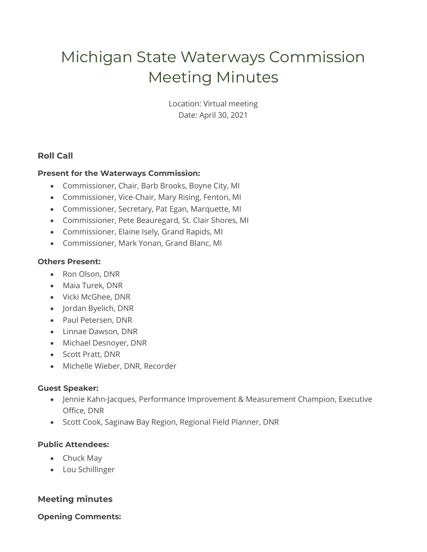# Michigan State Waterways Commission Meeting Minutes

Location: Virtual meeting Date: April 30, 2021

# **Roll Call**

## **Present for the Waterways Commission:**

- Commissioner, Chair, Barb Brooks, Boyne City, MI
- Commissioner, Vice-Chair, Mary Rising, Fenton, MI
- Commissioner, Secretary, Pat Egan, Marquette, MI
- Commissioner, Pete Beauregard, St. Clair Shores, MI
- Commissioner, Elaine Isely, Grand Rapids, MI
- Commissioner, Mark Yonan, Grand Blanc, MI

#### **Others Present:**

- Ron Olson, DNR
- Maia Turek, DNR
- Vicki McGhee, DNR
- Jordan Byelich, DNR
- Paul Petersen, DNR
- Linnae Dawson, DNR
- Michael Desnoyer, DNR
- Scott Pratt, DNR
- Michelle Wieber, DNR, Recorder

#### **Guest Speaker:**

- Jennie Kahn-Jacques, Performance Improvement & Measurement Champion, Executive Office, DNR
- Scott Cook, Saginaw Bay Region, Regional Field Planner, DNR

#### **Public Attendees:**

- Chuck May
- Lou Schillinger

# **Meeting minutes**

#### **Opening Comments:**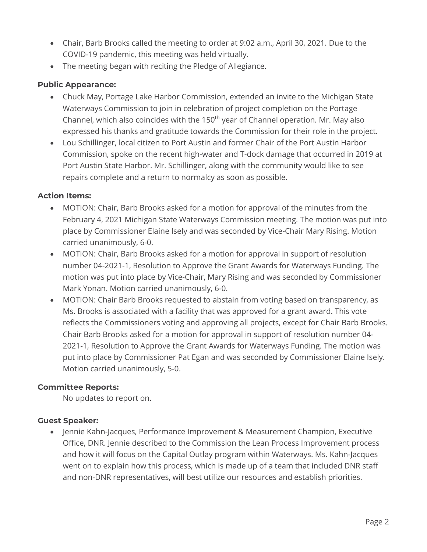- Chair, Barb Brooks called the meeting to order at 9:02 a.m., April 30, 2021. Due to the COVID-19 pandemic, this meeting was held virtually.
- The meeting began with reciting the Pledge of Allegiance.

# **Public Appearance:**

- Chuck May, Portage Lake Harbor Commission, extended an invite to the Michigan State Waterways Commission to join in celebration of project completion on the Portage Channel, which also coincides with the 150<sup>th</sup> year of Channel operation. Mr. May also expressed his thanks and gratitude towards the Commission for their role in the project.
- Lou Schillinger, local citizen to Port Austin and former Chair of the Port Austin Harbor Commission, spoke on the recent high-water and T-dock damage that occurred in 2019 at Port Austin State Harbor. Mr. Schillinger, along with the community would like to see repairs complete and a return to normalcy as soon as possible.

## **Action Items:**

- MOTION: Chair, Barb Brooks asked for a motion for approval of the minutes from the February 4, 2021 Michigan State Waterways Commission meeting. The motion was put into place by Commissioner Elaine Isely and was seconded by Vice-Chair Mary Rising. Motion carried unanimously, 6-0.
- MOTION: Chair, Barb Brooks asked for a motion for approval in support of resolution number 04-2021-1, Resolution to Approve the Grant Awards for Waterways Funding. The motion was put into place by Vice-Chair, Mary Rising and was seconded by Commissioner Mark Yonan. Motion carried unanimously, 6-0.
- MOTION: Chair Barb Brooks requested to abstain from voting based on transparency, as Ms. Brooks is associated with a facility that was approved for a grant award. This vote reflects the Commissioners voting and approving all projects, except for Chair Barb Brooks. Chair Barb Brooks asked for a motion for approval in support of resolution number 04- 2021-1, Resolution to Approve the Grant Awards for Waterways Funding. The motion was put into place by Commissioner Pat Egan and was seconded by Commissioner Elaine Isely. Motion carried unanimously, 5-0.

#### **Committee Reports:**

No updates to report on.

#### **Guest Speaker:**

• Jennie Kahn-Jacques, Performance Improvement & Measurement Champion, Executive Office, DNR. Jennie described to the Commission the Lean Process Improvement process and how it will focus on the Capital Outlay program within Waterways. Ms. Kahn-Jacques went on to explain how this process, which is made up of a team that included DNR staff and non-DNR representatives, will best utilize our resources and establish priorities.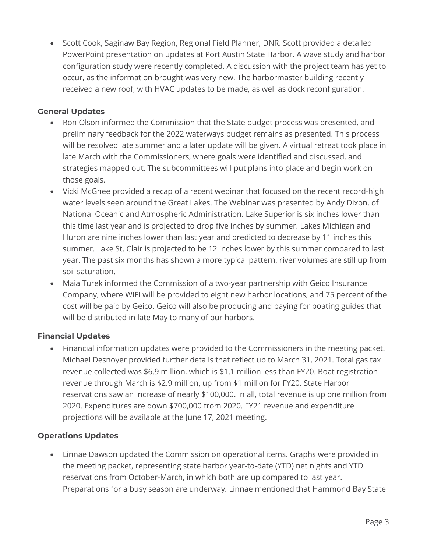• Scott Cook, Saginaw Bay Region, Regional Field Planner, DNR. Scott provided a detailed PowerPoint presentation on updates at Port Austin State Harbor. A wave study and harbor configuration study were recently completed. A discussion with the project team has yet to occur, as the information brought was very new. The harbormaster building recently received a new roof, with HVAC updates to be made, as well as dock reconfiguration.

## **General Updates**

- Ron Olson informed the Commission that the State budget process was presented, and preliminary feedback for the 2022 waterways budget remains as presented. This process will be resolved late summer and a later update will be given. A virtual retreat took place in late March with the Commissioners, where goals were identified and discussed, and strategies mapped out. The subcommittees will put plans into place and begin work on those goals.
- Vicki McGhee provided a recap of a recent webinar that focused on the recent record-high water levels seen around the Great Lakes. The Webinar was presented by Andy Dixon, of National Oceanic and Atmospheric Administration. Lake Superior is six inches lower than this time last year and is projected to drop five inches by summer. Lakes Michigan and Huron are nine inches lower than last year and predicted to decrease by 11 inches this summer. Lake St. Clair is projected to be 12 inches lower by this summer compared to last year. The past six months has shown a more typical pattern, river volumes are still up from soil saturation.
- Maia Turek informed the Commission of a two-year partnership with Geico Insurance Company, where WIFI will be provided to eight new harbor locations, and 75 percent of the cost will be paid by Geico. Geico will also be producing and paying for boating guides that will be distributed in late May to many of our harbors.

# **Financial Updates**

• Financial information updates were provided to the Commissioners in the meeting packet. Michael Desnoyer provided further details that reflect up to March 31, 2021. Total gas tax revenue collected was \$6.9 million, which is \$1.1 million less than FY20. Boat registration revenue through March is \$2.9 million, up from \$1 million for FY20. State Harbor reservations saw an increase of nearly \$100,000. In all, total revenue is up one million from 2020. Expenditures are down \$700,000 from 2020. FY21 revenue and expenditure projections will be available at the June 17, 2021 meeting.

# **Operations Updates**

• Linnae Dawson updated the Commission on operational items. Graphs were provided in the meeting packet, representing state harbor year-to-date (YTD) net nights and YTD reservations from October-March, in which both are up compared to last year. Preparations for a busy season are underway. Linnae mentioned that Hammond Bay State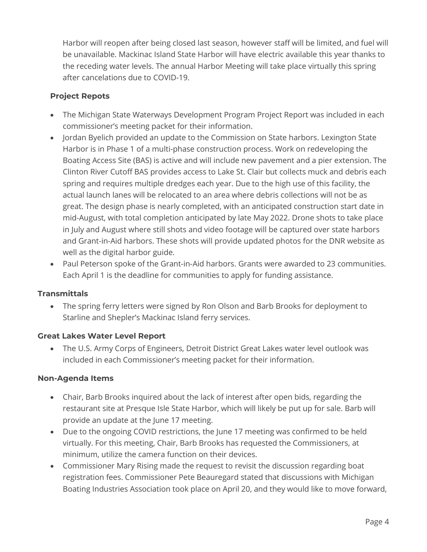Harbor will reopen after being closed last season, however staff will be limited, and fuel will be unavailable. Mackinac Island State Harbor will have electric available this year thanks to the receding water levels. The annual Harbor Meeting will take place virtually this spring after cancelations due to COVID-19.

# **Project Repots**

- The Michigan State Waterways Development Program Project Report was included in each commissioner's meeting packet for their information.
- Jordan Byelich provided an update to the Commission on State harbors. Lexington State Harbor is in Phase 1 of a multi-phase construction process. Work on redeveloping the Boating Access Site (BAS) is active and will include new pavement and a pier extension. The Clinton River Cutoff BAS provides access to Lake St. Clair but collects muck and debris each spring and requires multiple dredges each year. Due to the high use of this facility, the actual launch lanes will be relocated to an area where debris collections will not be as great. The design phase is nearly completed, with an anticipated construction start date in mid-August, with total completion anticipated by late May 2022. Drone shots to take place in July and August where still shots and video footage will be captured over state harbors and Grant-in-Aid harbors. These shots will provide updated photos for the DNR website as well as the digital harbor guide.
- Paul Peterson spoke of the Grant-in-Aid harbors. Grants were awarded to 23 communities. Each April 1 is the deadline for communities to apply for funding assistance.

#### **Transmittals**

• The spring ferry letters were signed by Ron Olson and Barb Brooks for deployment to Starline and Shepler's Mackinac Island ferry services.

#### **Great Lakes Water Level Report**

• The U.S. Army Corps of Engineers, Detroit District Great Lakes water level outlook was included in each Commissioner's meeting packet for their information.

#### **Non-Agenda Items**

- Chair, Barb Brooks inquired about the lack of interest after open bids, regarding the restaurant site at Presque Isle State Harbor, which will likely be put up for sale. Barb will provide an update at the June 17 meeting.
- Due to the ongoing COVID restrictions, the June 17 meeting was confirmed to be held virtually. For this meeting, Chair, Barb Brooks has requested the Commissioners, at minimum, utilize the camera function on their devices.
- Commissioner Mary Rising made the request to revisit the discussion regarding boat registration fees. Commissioner Pete Beauregard stated that discussions with Michigan Boating Industries Association took place on April 20, and they would like to move forward,